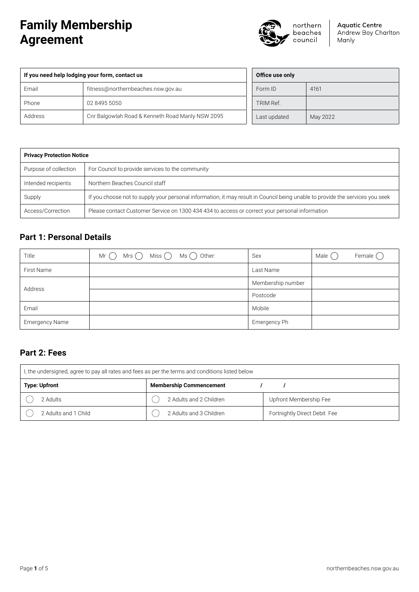# **Family Membership Agreement**



**Aquatic Centre** Andrew Boy Charlton Manly

| If you need help lodging your form, contact us |                                                  |  |
|------------------------------------------------|--------------------------------------------------|--|
| Email                                          | fitness@northernbeaches.nsw.gov.au               |  |
| Phone                                          | 02 8495 5050                                     |  |
| Address                                        | Cnr Balgowlah Road & Kenneth Road Manly NSW 2095 |  |

| Office use only |          |
|-----------------|----------|
| Form ID         | 4161     |
| TRIM Ref.       |          |
| Last updated    | May 2022 |

| <b>Privacy Protection Notice</b> |                                                                                                                               |  |
|----------------------------------|-------------------------------------------------------------------------------------------------------------------------------|--|
| Purpose of collection            | For Council to provide services to the community                                                                              |  |
| Intended recipients              | Northern Beaches Council staff                                                                                                |  |
| Supply                           | If you choose not to supply your personal information, it may result in Council being unable to provide the services you seek |  |
| Access/Correction                | Please contact Customer Service on 1300 434 434 to access or correct your personal information                                |  |

# **Part 1: Personal Details**

| Title                 | Mr $\bigcirc$ Mrs $\bigcirc$ Miss $\bigcirc$ Ms $\bigcirc$ Other: | Sex               | Male () | Female $\bigcap$ |
|-----------------------|-------------------------------------------------------------------|-------------------|---------|------------------|
| First Name            |                                                                   | Last Name         |         |                  |
| Address               |                                                                   | Membership number |         |                  |
|                       |                                                                   | Postcode          |         |                  |
| Email                 |                                                                   | Mobile            |         |                  |
| <b>Emergency Name</b> |                                                                   | Emergency Ph      |         |                  |

## **Part 2: Fees**

| l, the undersigned, agree to pay all rates and fees as per the terms and conditions listed below |                         |                              |  |
|--------------------------------------------------------------------------------------------------|-------------------------|------------------------------|--|
| <b>Type: Upfront</b><br><b>Membership Commencement</b>                                           |                         |                              |  |
| ?Adults                                                                                          | 2 Adults and 2 Children | Upfront Membership Fee       |  |
| 2 Adults and 1 Child                                                                             | 2 Adults and 3 Children | Fortnightly Direct Debit Fee |  |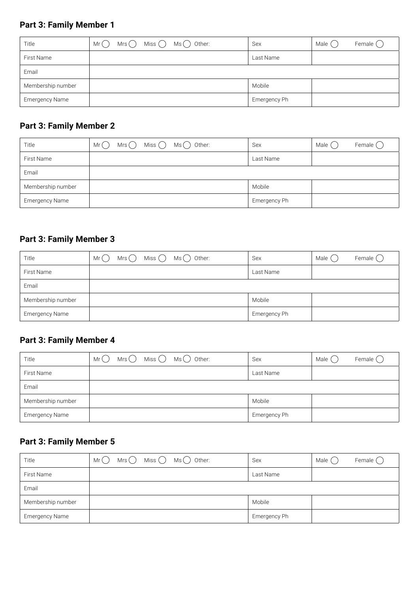# **Part 3: Family Member 1**

| Title                 | $Mrs$ Miss $\bigcap$ Ms $\bigcap$ Other:<br>Mr() | Sex          | Female $\bigcap$<br>Male () |
|-----------------------|--------------------------------------------------|--------------|-----------------------------|
| First Name            |                                                  | Last Name    |                             |
| Email                 |                                                  |              |                             |
| Membership number     |                                                  | Mobile       |                             |
| <b>Emergency Name</b> |                                                  | Emergency Ph |                             |

# **Part 3: Family Member 2**

| Title             | $Mrs$ Miss $\bigcap$ Ms $\bigcap$ Other:<br>Mr() | Sex          | Female $\bigcap$<br>Male $(\ )$ |
|-------------------|--------------------------------------------------|--------------|---------------------------------|
| First Name        |                                                  | Last Name    |                                 |
| Email             |                                                  |              |                                 |
| Membership number |                                                  | Mobile       |                                 |
| Emergency Name    |                                                  | Emergency Ph |                                 |

# **Part 3: Family Member 3**

| Title             | $Mrs$ $\bigcirc$ $Miss$ $\bigcirc$ $Ms$ $\bigcirc$ 0ther:<br>Mr() | Sex          | Male ( | Female $\bigcap$ |
|-------------------|-------------------------------------------------------------------|--------------|--------|------------------|
| First Name        |                                                                   | Last Name    |        |                  |
| Email             |                                                                   |              |        |                  |
| Membership number |                                                                   | Mobile       |        |                  |
| Emergency Name    |                                                                   | Emergency Ph |        |                  |

# **Part 3: Family Member 4**

| Title                 | $Mrs$ $\bigcirc$ $Miss$ $\bigcirc$ $Ms$ $\bigcirc$ 0ther:<br>Mr() | Sex          | Female $\bigcap$<br>Male () |
|-----------------------|-------------------------------------------------------------------|--------------|-----------------------------|
| First Name            |                                                                   | Last Name    |                             |
| Email                 |                                                                   |              |                             |
| Membership number     |                                                                   | Mobile       |                             |
| <b>Emergency Name</b> |                                                                   | Emergency Ph |                             |

# **Part 3: Family Member 5**

| Title                 | $Mrs$ Miss $\bigcirc$ Ms $\bigcirc$ Other:<br>Mr( ) | Sex          | Male () | Female $\bigcap$ |
|-----------------------|-----------------------------------------------------|--------------|---------|------------------|
| First Name            |                                                     | Last Name    |         |                  |
| Email                 |                                                     |              |         |                  |
| Membership number     |                                                     | Mobile       |         |                  |
| <b>Emergency Name</b> |                                                     | Emergency Ph |         |                  |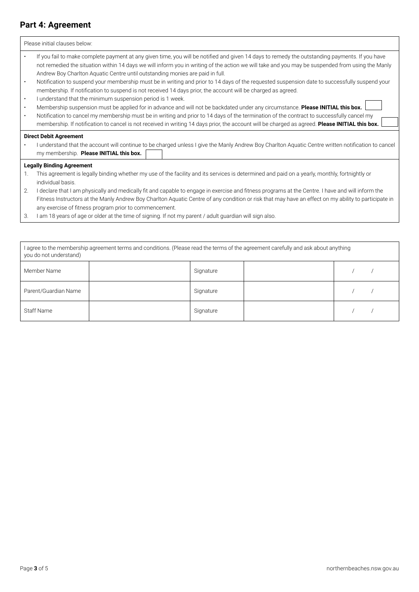# **Part 4: Agreement**

|                        | Please initial clauses below:                                                                                                                                                                                                                                                                                                                                                                                                                                                                                                                                                                                                                        |
|------------------------|------------------------------------------------------------------------------------------------------------------------------------------------------------------------------------------------------------------------------------------------------------------------------------------------------------------------------------------------------------------------------------------------------------------------------------------------------------------------------------------------------------------------------------------------------------------------------------------------------------------------------------------------------|
| $\bullet$<br>$\bullet$ | If you fail to make complete payment at any given time, you will be notified and given 14 days to remedy the outstanding payments. If you have<br>not remedied the situation within 14 days we will inform you in writing of the action we will take and you may be suspended from using the Manly<br>Andrew Boy Charlton Aquatic Centre until outstanding monies are paid in full.<br>Notification to suspend your membership must be in writing and prior to 14 days of the requested suspension date to successfully suspend your<br>membership. If notification to suspend is not received 14 days prior, the account will be charged as agreed. |
| $\bullet$              | I understand that the minimum suspension period is 1 week.                                                                                                                                                                                                                                                                                                                                                                                                                                                                                                                                                                                           |
| $\bullet$              | Membership suspension must be applied for in advance and will not be backdated under any circumstance. Please INITIAL this box.                                                                                                                                                                                                                                                                                                                                                                                                                                                                                                                      |
| $\bullet$              | Notification to cancel my membership must be in writing and prior to 14 days of the termination of the contract to successfully cancel my<br>membership. If notification to cancel is not received in writing 14 days prior, the account will be charged as agreed. Please INITIAL this box.                                                                                                                                                                                                                                                                                                                                                         |
|                        | <b>Direct Debit Agreement</b><br>I understand that the account will continue to be charged unless I give the Manly Andrew Boy Charlton Aquatic Centre written notification to cancel<br>my membership. Please INITIAL this box.                                                                                                                                                                                                                                                                                                                                                                                                                      |
|                        | <b>Legally Binding Agreement</b>                                                                                                                                                                                                                                                                                                                                                                                                                                                                                                                                                                                                                     |
| 1.                     | This agreement is legally binding whether my use of the facility and its services is determined and paid on a yearly, monthly, fortnightly or<br>individual basis.                                                                                                                                                                                                                                                                                                                                                                                                                                                                                   |
| 2.                     | I declare that I am physically and medically fit and capable to engage in exercise and fitness programs at the Centre. I have and will inform the                                                                                                                                                                                                                                                                                                                                                                                                                                                                                                    |
|                        | Fitness Instructors at the Manly Andrew Boy Charlton Aquatic Centre of any condition or risk that may have an effect on my ability to participate in<br>any exercise of fitness program prior to commencement.                                                                                                                                                                                                                                                                                                                                                                                                                                       |
|                        |                                                                                                                                                                                                                                                                                                                                                                                                                                                                                                                                                                                                                                                      |

3. I am 18 years of age or older at the time of signing. If not my parent / adult guardian will sign also.

| I agree to the membership agreement terms and conditions. (Please read the terms of the agreement carefully and ask about anything<br>you do not understand) |  |           |  |  |
|--------------------------------------------------------------------------------------------------------------------------------------------------------------|--|-----------|--|--|
| Member Name                                                                                                                                                  |  | Signature |  |  |
| Parent/Guardian Name                                                                                                                                         |  | Signature |  |  |
| <b>Staff Name</b>                                                                                                                                            |  | Signature |  |  |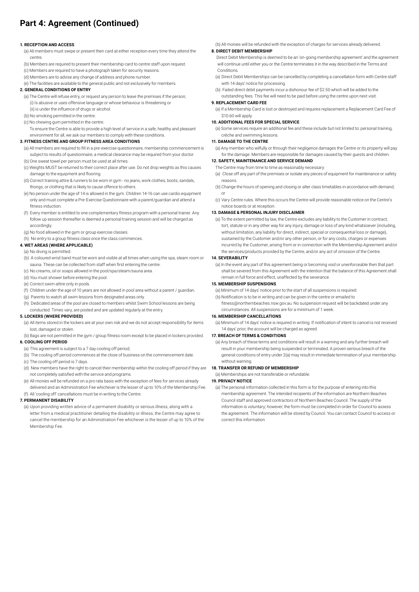## **Part 4: Agreement (Continued)**

#### **1. RECEPTION AND ACCESS**

- (a) All members must swipe or present their card at either reception every time they attend the centre.
- (b) Members are required to present their membership card to centre staff upon request.
- (c) Members are required to have a photograph taken for security reasons.
- (d) Members are to advise any change of address and phone number.
- (e) The facilities are available to the general public and not exclusively for members.

### **2. GENERAL CONDITIONS OF ENTRY**

- (a) The Centre will refuse entry, or request any person to leave the premises if the person; (i) Is abusive or uses offensive language or whose behaviour is threatening or
- (ii) is under the influence of drugs or alcohol.
- (b) No smoking permitted in the centre.
- (c) No chewing gum permitted in the centre.

 To ensure the Centre is able to provide a high level of service in a safe, healthy and pleasant environment for all, we ask our members to comply with these conditions.

### **3. FITNESS CENTRE AND GROUP FITNESS AREA CONDITIONS**

- (a) All members are required to fill in a pre-exercise questionnaire, membership commencement is subject to results of questionnaire, a medical clearance may be required from your doctor.
- (b) One sweat towel per person must be used at all times.
- (c) Weights MUST be returned to their correct place after use. Do not drop weights as this causes damage to the equipment and flooring.
- (d) Correct training attire & runners to be worn in gym no jeans, work clothes, boots, sandals, thongs, or clothing that is likely to cause offence to others.
- (e) No person under the age of 14 is allowed in the gym. Children 14-16 can use cardio equipment only and must complete a Pre-Exercise Questionnaire with a parent/guardian and attend a fitness induction.
- (f) Every member is entitled to one complementary fitness program with a personal trainer. Any follow up session thereafter is deemed a personal training session and will be charged as accordingly.
- (g) No food allowed in the gym or group exercise classes.
- (h) No entry to a group fitness class once the class commences.

### **4. WET AREAS (WHERE APPLICABLE)**

### (a) No diving is permitted.

- (b) A coloured wrist band must be worn and visible at all times when using the spa, steam room or sauna. These can be collected from staff when first entering the centre.
- (c) No creams, oil or soaps allowed in the pool/spa/steam/sauna area.
- (d) You must shower before entering the pool.
- (e) Correct swim attire only in pools.
- (f) Children under the age of 10 years are not allowed in pool area without a parent / guardian.
- (g) Parents to watch all swim lessons from designated areas only.
- (h) Dedicated areas of the pool are closed to members whilst Swim School lessons are being conducted. Times vary, are posted and are updated regularly at the entry.

#### **5. LOCKERS (WHERE PROVIDED)**

- (a) All items stored in the lockers are at your own risk and we do not accept responsibility for items lost, damaged or stolen.
- (b) Bags are not permitted in the gym / group fitness room except to be placed in lockers provided. **6. COOLING OFF PERIOD**

### (a) This agreement is subject to a 7 day cooling off period;

- (b) The cooling off period commences at the close of business on the commencement date.
- (c) The cooling off period is 7 days.
- (d) New members have the right to cancel their membership within the cooling off period if they are not completely satisfied with the service and programs.
- (e) All monies will be refunded on a pro rata basis with the exception of fees for services already delivered and an Administration Fee whichever is the lesser of up to 10% of the Membership Fee.

#### (f) All 'cooling off' cancellations must be in writing to the Centre.

#### **7. PERMANENT DISABILITY**

(a) Upon providing written advice of a permanent disability or serious illness, along with a letter from a medical practitioner detailing the disability or illness, the Centre may agree to cancel the membership for an Administration Fee whichever is the lesser of up to 10% of the Membership Fee.

(b) All monies will be refunded with the exception of charges for services already delivered.

### **8. DIRECT DEBIT MEMBERSHIP**

 Direct Debit Membership is deemed to be an 'on-going membership agreement' and the agreement will continue until either you or the Centre terminates it in the way described in the Terms and **Conditions** 

- (a) Direct Debit Memberships can be cancelled by completing a cancellation form with Centre staff with 14 days' notice for processing.
- (b) Failed direct debit payments incur a dishonour fee of \$2.50 which will be added to the outstanding fees. This fee will need to be paid before using the centre upon next visit.

### **9. REPLACEMENT CARD FEE**

(a) If a Membership Card is lost or destroyed and requires replacement a Replacement Card Fee of \$10.60 will apply.

### **10. ADDITIONAL FEES FOR SPECIAL SERVICE**

(a) Some services require an additional fee and these include but not limited to: personal training, crèche and swimming lessons.

#### **11. DAMAGE TO THE CENTRE**

(a) Any member who wilfully or through their negligence damages the Centre or its property will pay for the damage. Members are responsible for damages caused by their guests and children.

### **12. SAFETY, MAINTENANCE AND SERVICE DEMAND**

- The Centre may from time to time as reasonably necessary:
- (a) Close off any part of the premises or isolate any pieces of equipment for maintenance or safety reasons.
- (b) Change the hours of opening and closing or alter class timetables in accordance with demand; or
- (c) Vary Centre rules. Where this occurs the Centre will provide reasonable notice on the Centre's notice boards or at reception.

### **13. DAMAGE & PERSONAL INJURY DISCLAIMER**

(a) To the extent permitted by law, the Centre excludes any liability to the Customer in contract, tort, statute or in any other way for any injury, damage or loss of any kind whatsoever (including, without limitation, any liability for direct, indirect, special or consequential loss or damage) sustained by the Customer and/or any other person, or for any costs, charges or expenses incurred by the Customer, arising from or in connection with the Membership Agreement and/or the services/products provided by the Centre, and/or any act of omission of the Centre.

### **14. SEVERABILITY**

(a) In the event any part of this agreement being or becoming void or unenforceable then that part shall be severed from this Agreement with the intention that the balance of this Agreement shall remain in full force and effect, unaffected by the severance.

### **15. MEMBERSHIP SUSPENSIONS**

- (a) Minimum of 14 days' notice prior to the start of all suspensions is required.
- (b) Notification is to be in writing and can be given in the centre or emailed to fitness@northernbeaches.nsw.gov.au. No suspension request will be backdated under any circumstances. All suspensions are for a minimum of 1 week.

#### **16. MEMBERSHIP CANCELLATIONS**

(a) Minimum of 14 days' notice is required in writing. If notification of intent to cancel is not received 14 days' prior, the account will be charged as agreed.

### **17. BREACH OF TERMS & CONDITIONS**

(a) Any breach of these terms and conditions will result in a warning and any further breach will result in your membership being suspended or terminated. A proven serious breach of the general conditions of entry under 2(a) may result in immediate termination of your membership without warning.

#### **18. TRANSFER OR REFUND OF MEMBERSHIP**

(a) Memberships are not transferable or refundable.

### **19. PRIVACY NOTICE**

(a) The personal information collected in this form is for the purpose of entering into this membership agreement. The intended recipients of the information are Northern Beaches Council staff and approved contractors of Northern Beaches Council. The supply of the information is voluntary; however, the form must be completed in order for Council to assess the agreement. The information will be stored by Council. You can contact Council to access or correct this information